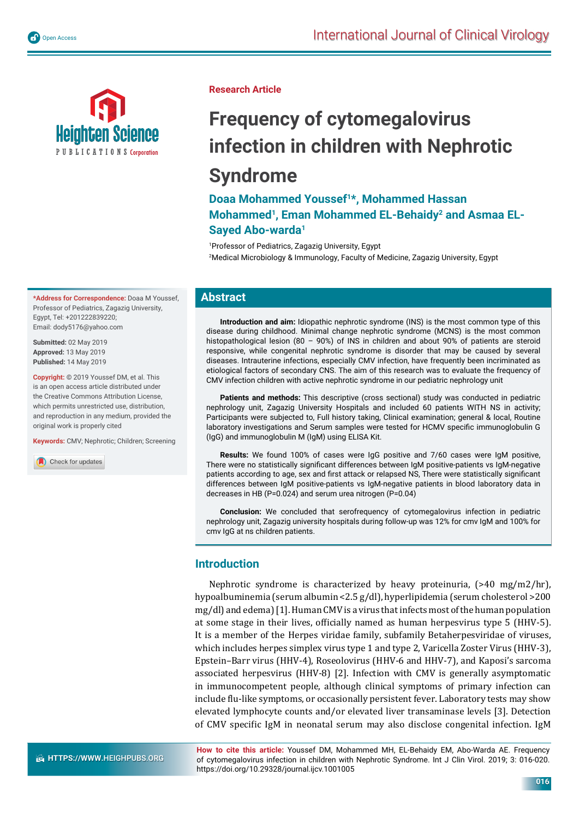



**\*Address for Correspondence:** Doaa M Youssef, Professor of Pediatrics, Zagazig University, Egypt, Tel: +201222839220; Email: dody5176@yahoo.com

**Submitted:** 02 May 2019 **Approved:** 13 May 2019 **Published:** 14 May 2019

**Copyright:** © 2019 Youssef DM, et al. This is an open access article distributed under the Creative Commons Attribution License, which permits unrestricted use, distribution, and reproduction in any medium, provided the original work is properly cited

**Keywords:** CMV; Nephrotic; Children; Screening

Check for updates

#### **Research Article**

# **Frequency of cytomegalovirus infection in children with Nephrotic Syndrome**

## **Doaa Mohammed Youssef1\*, Mohammed Hassan**  Mohammed<sup>1</sup>, Eman Mohammed EL-Behaidy<sup>2</sup> and Asmaa EL-**Sayed Abo-warda1**

1 Professor of Pediatrics, Zagazig University, Egypt 2 Medical Microbiology & Immunology, Faculty of Medicine, Zagazig University, Egypt

#### **Abstract**

**Introduction and aim:** Idiopathic nephrotic syndrome (INS) is the most common type of this disease during childhood. Minimal change nephrotic syndrome (MCNS) is the most common histopathological lesion (80 - 90%) of INS in children and about 90% of patients are steroid responsive, while congenital nephrotic syndrome is disorder that may be caused by several diseases. Intrauterine infections, especially CMV infection, have frequently been incriminated as etiological factors of secondary CNS. The aim of this research was to evaluate the frequency of CMV infection children with active nephrotic syndrome in our pediatric nephrology unit

**Patients and methods:** This descriptive (cross sectional) study was conducted in pediatric nephrology unit, Zagazig University Hospitals and included 60 patients WITH NS in activity; Participants were subjected to, Full history taking, Clinical examination; general & local, Routine laboratory investigations and Serum samples were tested for HCMV specific immunoglobulin G (IgG) and immunoglobulin M (IgM) using ELISA Kit.

**Results:** We found 100% of cases were IgG positive and 7/60 cases were IgM positive, There were no statistically significant differences between IgM positive-patients vs IgM-negative patients according to age, sex and first attack or relapsed NS, There were statistically significant differences between IgM positive-patients vs IgM-negative patients in blood laboratory data in decreases in HB (P=0.024) and serum urea nitrogen (P=0.04)

**Conclusion:** We concluded that serofrequency of cytomegalovirus infection in pediatric nephrology unit, Zagazig university hospitals during follow-up was 12% for cmv IgM and 100% for cmv IgG at ns children patients.

#### **Introduction**

Nephrotic syndrome is characterized by heavy proteinuria, (>40 mg/m2/hr), hypoalbuminemia (serum albumin <2.5 g/dl), hyperlipidemia (serum cholesterol >200 mg/dl) and edema) [1]. Human CMV is a virus that infects most of the human population at some stage in their lives, officially named as human herpesvirus type 5 (HHV-5). It is a member of the Herpes viridae family, subfamily Betaherpesviridae of viruses, which includes herpes simplex virus type 1 and type 2, Varicella Zoster Virus (HHV-3), Epstein–Barr virus (HHV-4), Roseolovirus (HHV-6 and HHV-7), and Kaposi's sarcoma associated herpesvirus (HHV-8) [2]. Infection with CMV is generally asymptomatic in immunocompetent people, although clinical symptoms of primary infection can include ϐlu-like symptoms, or occasionally persistent fever. Laboratory tests may show elevated lymphocyte counts and/or elevated liver transaminase levels [3]. Detection of CMV specific IgM in neonatal serum may also disclose congenital infection. IgM

**HTTPS://WWW.HEIGHPUBS.ORG** 

**How to cite this article:** Youssef DM, Mohammed MH, EL-Behaidy EM, Abo-Warda AE. Frequency of cytomegalovirus infection in children with Nephrotic Syndrome. Int J Clin Virol. 2019; 3: 016-020. https://doi.org/10.29328/journal.ijcv.1001005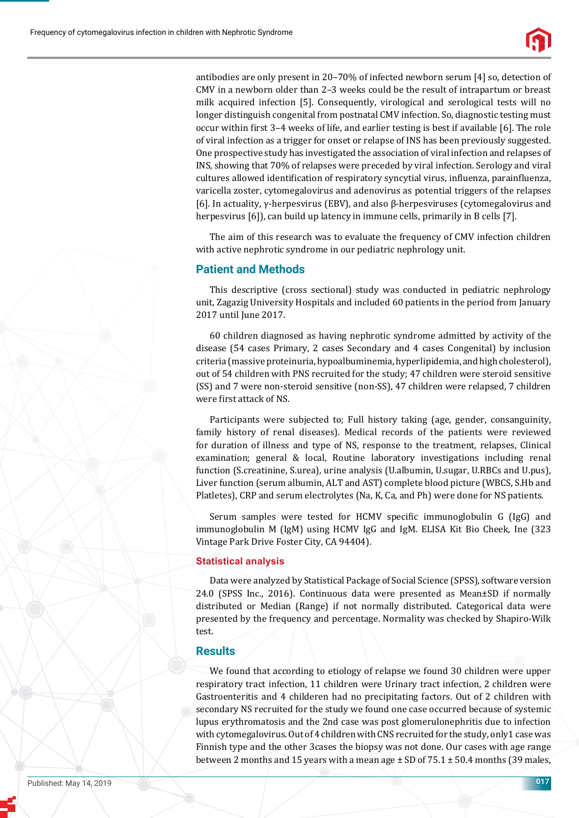

antibodies are only present in 20–70% of infected newborn serum [4] so, detection of CMV in a newborn older than 2–3 weeks could be the result of intrapartum or breast milk acquired infection [5]. Consequently, virological and serological tests will no longer distinguish congenital from postnatal CMV infection. So, diagnostic testing must occur within first 3–4 weeks of life, and earlier testing is best if available [6]. The role of viral infection as a trigger for onset or relapse of INS has been previously suggested. One prospective study has investigated the association of viral infection and relapses of INS, showing that 70% of relapses were preceded by viral infection. Serology and viral cultures allowed identification of respiratory syncytial virus, influenza, parainfluenza, varicella zoster, cytomegalovirus and adenovirus as potential triggers of the relapses [6]. In actuality, γ-herpesvirus (EBV), and also β-herpesviruses (cytomegalovirus and herpesvirus [6]), can build up latency in immune cells, primarily in B cells [7].

The aim of this research was to evaluate the frequency of CMV infection children with active nephrotic syndrome in our pediatric nephrology unit.

#### **Patient and Methods**

This descriptive (cross sectional) study was conducted in pediatric nephrology unit, Zagazig University Hospitals and included 60 patients in the period from January 2017 until June 2017.

60 children diagnosed as having nephrotic syndrome admitted by activity of the disease (54 cases Primary, 2 cases Secondary and 4 cases Congenital) by inclusion criteria (massive proteinuria, hypoalbuminemia, hyperlipidemia, and high cholesterol), out of 54 children with PNS recruited for the study; 47 children were steroid sensitive (SS) and 7 were non-steroid sensitive (non-SS), 47 children were relapsed, 7 children were first attack of NS.

Participants were subjected to; Full history taking (age, gender, consanguinity, family history of renal diseases). Medical records of the patients were reviewed for duration of illness and type of NS, response to the treatment, relapses, Clinical examination; general & local, Routine laboratory investigations including renal function (S.creatinine, S.urea), urine analysis (U.albumin, U.sugar, U.RBCs and U.pus), Liver function (serum albumin, ALT and AST) complete blood picture (WBCS, S.Hb and Platletes), CRP and serum electrolytes (Na, K, Ca, and Ph) were done for NS patients.

Serum samples were tested for HCMV specific immunoglobulin G (IgG) and immunoglobulin M (IgM) using HCMV IgG and IgM. ELISA Kit Bio Cheek, Ine (323 Vintage Park Drive Foster City, CA 94404).

#### **Statistical analysis**

Data were analyzed by Statistical Package of Social Science (SPSS), software version 24.0 (SPSS Inc., 2016). Continuous data were presented as Mean±SD if normally distributed or Median (Range) if not normally distributed. Categorical data were presented by the frequency and percentage. Normality was checked by Shapiro-Wilk test.

#### **Results**

We found that according to etiology of relapse we found 30 children were upper respiratory tract infection, 11 children were Urinary tract infection, 2 children were Gastroenteritis and 4 childeren had no precipitating factors. Out of 2 children with secondary NS recruited for the study we found one case occurred because of systemic lupus erythromatosis and the 2nd case was post glomerulonephritis due to infection with cytomegalovirus. Out of 4 children with CNS recruited for the study, only1 case was Finnish type and the other 3cases the biopsy was not done. Our cases with age range between 2 months and 15 years with a mean age  $\pm$  SD of 75.1  $\pm$  50.4 months (39 males,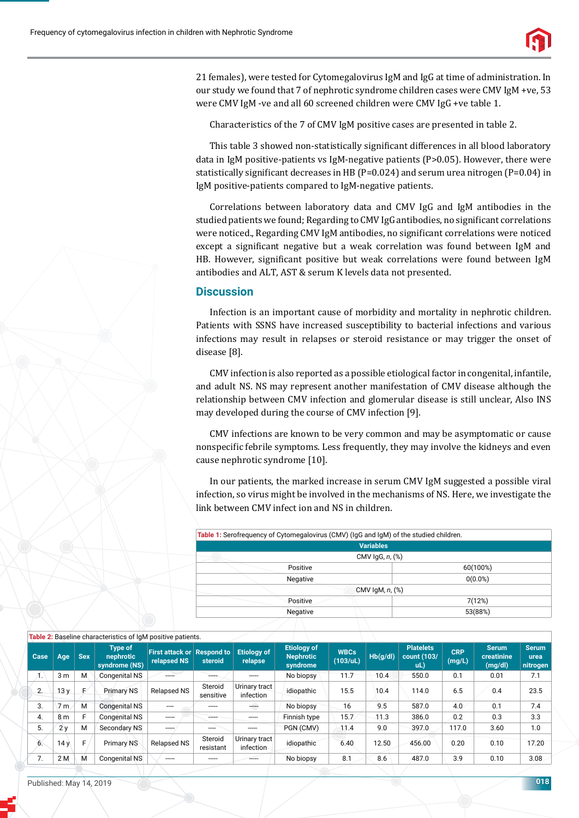

21 females), were tested for Cytomegalovirus IgM and IgG at time of administration. In our study we found that 7 of nephrotic syndrome children cases were CMV IgM +ve, 53 were CMV IgM -ve and all 60 screened children were CMV IgG +ve table 1.

Characteristics of the 7 of CMV IgM positive cases are presented in table 2.

This table 3 showed non-statistically significant differences in all blood laboratory data in IgM positive-patients vs IgM-negative patients (P>0.05). However, there were statistically significant decreases in HB (P=0.024) and serum urea nitrogen (P=0.04) in IgM positive-patients compared to IgM-negative patients.

Correlations between laboratory data and CMV IgG and IgM antibodies in the studied patients we found; Regarding to CMV IgG antibodies, no significant correlations were noticed., Regarding CMV IgM antibodies, no significant correlations were noticed except a significant negative but a weak correlation was found between IgM and HB. However, significant positive but weak correlations were found between IgM antibodies and ALT, AST & serum K levels data not presented.

### **Discussion**

Infection is an important cause of morbidity and mortality in nephrotic children. Patients with SSNS have increased susceptibility to bacterial infections and various infections may result in relapses or steroid resistance or may trigger the onset of disease [8].

CMV infection is also reported as a possible etiological factor in congenital, infantile, and adult NS. NS may represent another manifestation of CMV disease although the relationship between CMV infection and glomerular disease is still unclear, Also INS may developed during the course of CMV infection [9].

CMV infections are known to be very common and may be asymptomatic or cause nonspecific febrile symptoms. Less frequently, they may involve the kidneys and even cause nephrotic syndrome [10].

In our patients, the marked increase in serum CMV IgM suggested a possible viral infection, so virus might be involved in the mechanisms of NS. Here, we investigate the link between CMV infect ion and NS in children.

| Table 1: Serofrequency of Cytomegalovirus (CMV) (IgG and IgM) of the studied children. |            |
|----------------------------------------------------------------------------------------|------------|
| <b>Variables</b>                                                                       |            |
| CMV $lgG, n,$ $%$                                                                      |            |
| Positive                                                                               | 60(100%)   |
| Negative                                                                               | $0(0.0\%)$ |
| CMV $lgM, n,$ $%$                                                                      |            |
| Positive                                                                               | 7(12%)     |
| Negative                                                                               | 53(88%)    |
|                                                                                        |            |

|      |                |            | Table 2: Baseline characteristics of IgM positive patients. |                                                  |                      |                               |                                                    |                         |          |                                           |                      |                                       |                                   |
|------|----------------|------------|-------------------------------------------------------------|--------------------------------------------------|----------------------|-------------------------------|----------------------------------------------------|-------------------------|----------|-------------------------------------------|----------------------|---------------------------------------|-----------------------------------|
| Case | Age            | <b>Sex</b> | <b>Type of</b><br>nephrotic<br>syndrome (NS)                | <b>First attack or Respond to</b><br>relapsed NS | steroid              | <b>Etiology of</b><br>relapse | <b>Etiology of</b><br><b>Nephrotic</b><br>syndrome | <b>WBCs</b><br>(103/ul) | Hb(g/dl) | <b>Platelets</b><br>count (103/<br>$ul$ ) | <b>CRP</b><br>(mg/L) | <b>Serum</b><br>creatinine<br>(mg/dl) | <b>Serum</b><br>urea<br>nitrogen/ |
| Ί.   | 3 <sub>m</sub> | M          | Congenital NS                                               |                                                  | -----                |                               | No biopsy                                          | 11.7                    | 10.4     | 550.0                                     | 0.1                  | 0.01                                  | 7.1                               |
| 2.   | 13y            | E          | <b>Primary NS</b>                                           | <b>Relapsed NS</b>                               | Steroid<br>sensitive | Urinary tract<br>infection    | idiopathic                                         | 15.5                    | 10.4     | 114.0                                     | 6.5                  | 0.4                                   | 23.5                              |
| 3.   | 7 <sub>m</sub> | M          | <b>Congenital NS</b>                                        |                                                  |                      | ↔                             | No biopsy                                          | 16                      | 9.5      | 587.0                                     | 4.0                  | 0.1                                   | 7.4                               |
| 4.   | 8 <sub>m</sub> |            | <b>Congenital NS</b>                                        | -----                                            |                      | -----                         | Finnish type                                       | 15.7                    | 11.3     | 386.0                                     | 0.2                  | 0.3                                   | 3.3                               |
| 5.   | 2v             | M          | Secondary NS                                                |                                                  |                      |                               | PGN (CMV)                                          | 11.4                    | 9.0      | 397.0                                     | 117.0                | 3.60                                  | 1.0                               |
| 6.   | 14y            |            | <b>Primary NS</b>                                           | Relapsed NS                                      | Steroid<br>resistant | Urinary tract<br>infection    | idiopathic                                         | 6.40                    | 12.50    | 456.00                                    | 0.20                 | 0.10                                  | 17.20                             |
| 7.   | 2 M            | м          | Congenital NS                                               | -----                                            | -----                | -----                         | No biopsy                                          | 8.1                     | 8.6      | 487.0                                     | 3.9                  | 0.10                                  | 3.08                              |
|      |                |            |                                                             |                                                  |                      |                               |                                                    |                         |          |                                           |                      |                                       |                                   |

#### **Table 2:** Baseline characteristics of IgM positive patients.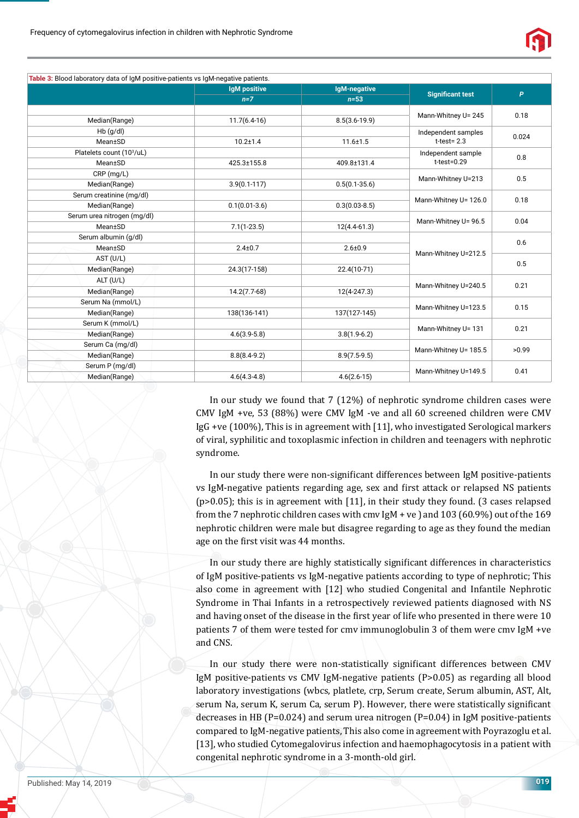

|                                       | <b>IgM positive</b> | IgM-negative      |                         |              |  |
|---------------------------------------|---------------------|-------------------|-------------------------|--------------|--|
|                                       | $n=7$               | $n=53$            | <b>Significant test</b> | $\mathsf{P}$ |  |
|                                       |                     |                   | Mann-Whitney U= 245     | 0.18         |  |
| Median(Range)                         | $11.7(6.4-16)$      | $8.5(3.6-19.9)$   |                         |              |  |
| $Hb$ (g/dl)                           |                     |                   | Independent samples     | 0.024        |  |
| Mean±SD                               | $10.2 \pm 1.4$      | $11.6 \pm 1.5$    | $t-test = 2.3$          |              |  |
| Platelets count (10 <sup>3</sup> /uL) |                     |                   | Independent sample      | 0.8          |  |
| Mean±SD                               | 425.3±155.8         | 409.8±131.4       | $t-test = 0.29$         |              |  |
| $CRP$ (mg/L)                          |                     |                   | Mann-Whitney U=213      | 0.5          |  |
| Median(Range)                         | $3.9(0.1 - 117)$    | $0.5(0.1 - 35.6)$ |                         |              |  |
| Serum creatinine (mg/dl)              |                     |                   | Mann-Whitney U= 126.0   | 0.18         |  |
| Median(Range)                         | $0.1(0.01-3.6)$     | $0.3(0.03 - 8.5)$ |                         |              |  |
| Serum urea nitrogen (mg/dl)           |                     |                   | Mann-Whitney U= 96.5    | 0.04         |  |
| Mean±SD                               | $7.1(1-23.5)$       | $12(4.4 - 61.3)$  |                         |              |  |
| Serum albumin (g/dl)                  |                     |                   |                         |              |  |
| Mean±SD                               | $2.4 \pm 0.7$       | $2.6 + 0.9$       | Mann-Whitney U=212.5    | 0.6          |  |
| AST (U/L)                             |                     |                   |                         | 0.5          |  |
| Median(Range)                         | 24.3(17-158)        | 22.4(10-71)       |                         |              |  |
| ALT (U/L)                             |                     |                   |                         |              |  |
| Median(Range)                         | $14.2(7.7-68)$      | $12(4 - 247.3)$   | Mann-Whitney U=240.5    | 0.21         |  |
| Serum Na (mmol/L)                     |                     |                   |                         | 0.15         |  |
| Median(Range)                         | 138(136-141)        | 137(127-145)      | Mann-Whitney U=123.5    |              |  |
| Serum K (mmol/L)                      |                     |                   |                         | 0.21         |  |
| Median(Range)                         | $4.6(3.9-5.8)$      | $3.8(1.9-6.2)$    | Mann-Whitney U= 131     |              |  |
| Serum Ca (mg/dl)                      |                     |                   |                         |              |  |
| Median(Range)                         | $8.8(8.4-9.2)$      | $8.9(7.5-9.5)$    | Mann-Whitney U= 185.5   | >0.99        |  |
| Serum P (mg/dl)                       |                     |                   |                         | 0.41         |  |
| Median(Range)                         | $4.6(4.3 - 4.8)$    | $4.6(2.6-15)$     | Mann-Whitney U=149.5    |              |  |

In our study we found that 7 (12%) of nephrotic syndrome children cases were CMV IgM +ve, 53 (88%) were CMV IgM -ve and all 60 screened children were CMV IgG +ve (100%), This is in agreement with [11], who investigated Serological markers of viral, syphilitic and toxoplasmic infection in children and teenagers with nephrotic syndrome.

In our study there were non-significant differences between IgM positive-patients vs IgM-negative patients regarding age, sex and first attack or relapsed NS patients (p>0.05); this is in agreement with [11], in their study they found. (3 cases relapsed from the 7 nephrotic children cases with cmv IgM + ve ) and 103 (60.9%) out of the 169 nephrotic children were male but disagree regarding to age as they found the median age on the first visit was 44 months.

In our study there are highly statistically significant differences in characteristics of IgM positive-patients vs IgM-negative patients according to type of nephrotic; This also come in agreement with [12] who studied Congenital and Infantile Nephrotic Syndrome in Thai Infants in a retrospectively reviewed patients diagnosed with NS and having onset of the disease in the first year of life who presented in there were 10 patients 7 of them were tested for cmv immunoglobulin 3 of them were cmv IgM +ve and CNS.

In our study there were non-statistically significant differences between CMV IgM positive-patients vs CMV IgM-negative patients (P>0.05) as regarding all blood laboratory investigations (wbcs, platlete, crp, Serum create, Serum albumin, AST, Alt, serum Na, serum K, serum Ca, serum P). However, there were statistically significant decreases in HB ( $P=0.024$ ) and serum urea nitrogen ( $P=0.04$ ) in IgM positive-patients compared to IgM-negative patients, This also come in agreement with Poyrazoglu et al. [13], who studied Cytomegalovirus infection and haemophagocytosis in a patient with congenital nephrotic syndrome in a 3-month-old girl.